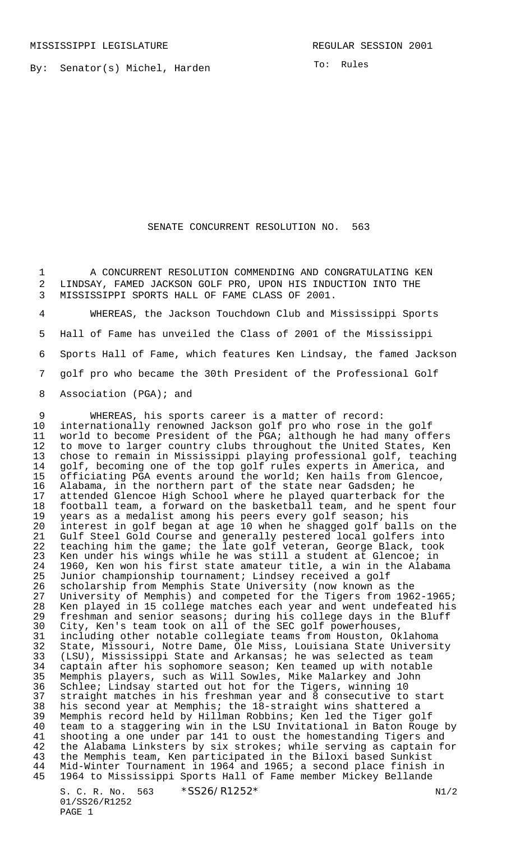By: Senator(s) Michel, Harden

## SENATE CONCURRENT RESOLUTION NO. 563

 A CONCURRENT RESOLUTION COMMENDING AND CONGRATULATING KEN LINDSAY, FAMED JACKSON GOLF PRO, UPON HIS INDUCTION INTO THE MISSISSIPPI SPORTS HALL OF FAME CLASS OF 2001.

 WHEREAS, the Jackson Touchdown Club and Mississippi Sports Hall of Fame has unveiled the Class of 2001 of the Mississippi Sports Hall of Fame, which features Ken Lindsay, the famed Jackson golf pro who became the 30th President of the Professional Golf 8 Association (PGA); and

S. C. R. No. 563  $*SS26/R1252*$  N1/2 9 WHEREAS, his sports career is a matter of record:<br>10 internationally renowned Jackson golf pro who rose in internationally renowned Jackson golf pro who rose in the golf world to become President of the PGA; although he had many offers to move to larger country clubs throughout the United States, Ken 13 chose to remain in Mississippi playing professional golf, teaching<br>14 qolf, becoming one of the top golf rules experts in America, and golf, becoming one of the top golf rules experts in America, and officiating PGA events around the world; Ken hails from Glencoe, Alabama, in the northern part of the state near Gadsden; he attended Glencoe High School where he played quarterback for the 18 football team, a forward on the basketball team, and he spent four<br>19 years as a medalist among his peers every golf season; his years as a medalist among his peers every golf season; his interest in golf began at age 10 when he shagged golf balls on the Gulf Steel Gold Course and generally pestered local golfers into teaching him the game; the late golf veteran, George Black, took Ken under his wings while he was still a student at Glencoe; in 1960, Ken won his first state amateur title, a win in the Alabama Junior championship tournament; Lindsey received a golf scholarship from Memphis State University (now known as the 27 University of Memphis) and competed for the Tigers from 1962-1965;<br>28 Ken played in 15 college matches each year and went undefeated his 28 Ken played in 15 college matches each year and went undefeated his<br>29 freshman and senior seasons; during his college days in the Bluff freshman and senior seasons; during his college days in the Bluff City, Ken's team took on all of the SEC golf powerhouses, including other notable collegiate teams from Houston, Oklahoma State, Missouri, Notre Dame, Ole Miss, Louisiana State University (LSU), Mississippi State and Arkansas; he was selected as team 34 captain after his sophomore season; Ken teamed up with notable<br>35 Memphis players, such as Will Sowles, Mike Malarkey and John 35 Memphis players, such as Will Sowles, Mike Malarkey and John<br>36 Schlee; Lindsay started out hot for the Tigers, winning 10 Schlee; Lindsay started out hot for the Tigers, winning 10 37 straight matches in his freshman year and 8 consecutive to start<br>38 his second year at Memphis; the 18-straight wins shattered a his second year at Memphis; the 18-straight wins shattered a Memphis record held by Hillman Robbins; Ken led the Tiger golf team to a staggering win in the LSU Invitational in Baton Rouge by 41 shooting a one under par 141 to oust the homestanding Tigers and<br>42 the Alabama Linksters by six strokes; while serving as captain fo the Alabama Linksters by six strokes; while serving as captain for the Memphis team, Ken participated in the Biloxi based Sunkist Mid-Winter Tournament in 1964 and 1965; a second place finish in 1964 to Mississippi Sports Hall of Fame member Mickey Bellande

01/SS26/R1252 PAGE 1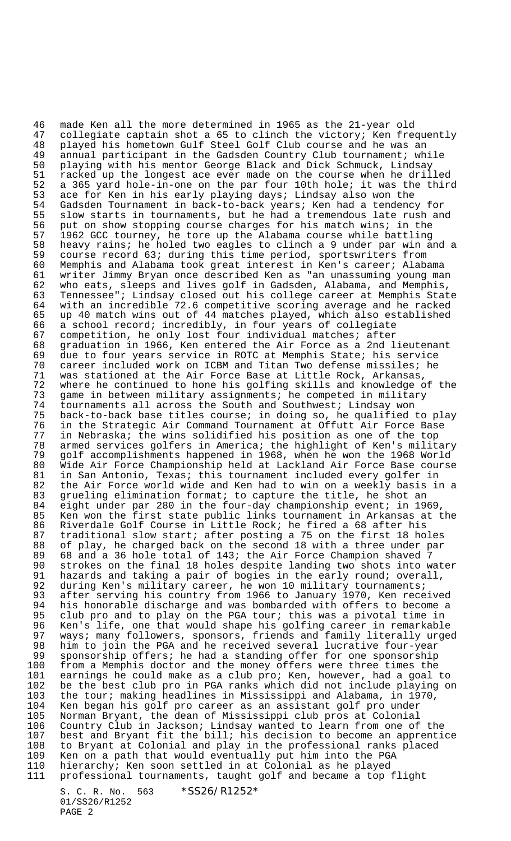46 made Ken all the more determined in 1965 as the 21-year old collegiate captain shot a 65 to clinch the victory; Ken frequently 48 played his hometown Gulf Steel Golf Club course and he was an<br>49 annual participant in the Gadsden Country Club tournament; wh 49 annual participant in the Gadsden Country Club tournament; while<br>50 playing with his mentor George Black and Dick Schmuck, Lindsay 50 playing with his mentor George Black and Dick Schmuck, Lindsay<br>51 racked up the longest ace ever made on the course when he dril racked up the longest ace ever made on the course when he drilled 52 a 365 yard hole-in-one on the par four 10th hole; it was the third 53 ace for Ken in his early playing days; Lindsay also won the 54 Gadsden Tournament in back-to-back years; Ken had a tendency for 55 slow starts in tournaments, but he had a tremendous late rush and<br>56 put on show stopping course charges for his match wins; in the 56 put on show stopping course charges for his match wins; in the<br>57 1962 GCC tourney, he tore up the Alabama course while battling 57 1962 GCC tourney, he tore up the Alabama course while battling 58 heavy rains; he holed two eagles to clinch a 9 under par win and a 59 course record 63; during this time period, sportswriters from<br>60 Memphis and Alabama took great interest in Ken's career; Alaba 60 Memphis and Alabama took great interest in Ken's career; Alabama writer Jimmy Bryan once described Ken as "an unassuming young man 62 who eats, sleeps and lives golf in Gadsden, Alabama, and Memphis, 63 Tennessee"; Lindsay closed out his college career at Memphis State 64 with an incredible 72.6 competitive scoring average and he racked 65 up 40 match wins out of 44 matches played, which also established 66 a school record; incredibly, in four years of collegiate<br>67 competition, he only lost four individual matches; after 67 competition, he only lost four individual matches; after<br>68 qraduation in 1966, Ken entered the Air Force as a 2nd l graduation in 1966, Ken entered the Air Force as a 2nd lieutenant 69 due to four years service in ROTC at Memphis State; his service 70 career included work on ICBM and Titan Two defense missiles; he<br>71 was stationed at the Air Force Base at Little Rock, Arkansas, 71 was stationed at the Air Force Base at Little Rock, Arkansas, 72 where he continued to hone his golfing skills and knowledge of the<br>73 game in between military assignments; he competed in military 73 game in between military assignments; he competed in military<br>74 tournaments all across the South and Southwest; Lindsay won 74 tournaments all across the South and Southwest; Lindsay won back-to-back base titles course; in doing so, he qualified to play 76 in the Strategic Air Command Tournament at Offutt Air Force Base<br>77 in Nebraska; the wins solidified his position as one of the top 77 in Nebraska; the wins solidified his position as one of the top<br>78 armed services golfers in America; the highlight of Ken's milit 78 armed services golfers in America; the highlight of Ken's military<br>79 qolf accomplishments happened in 1968, when he won the 1968 World 79 golf accomplishments happened in 1968, when he won the 1968 World 80 Wide Air Force Championship held at Lackland Air Force Base course 81 in San Antonio, Texas; this tournament included every golfer in 82 the Air Force world wide and Ken had to win on a weekly basis in a 83 grueling elimination format; to capture the title, he shot an<br>84 eight under par 280 in the four-day championship event; in 19 84 eight under par 280 in the four-day championship event; in 1969,<br>85 Ken won the first state public links tournament in Arkansas at t Ken won the first state public links tournament in Arkansas at the 86 Riverdale Golf Course in Little Rock; he fired a 68 after his 87 traditional slow start; after posting a 75 on the first 18 holes 88 of play, he charged back on the second 18 with a three under par<br>89 68 and a 36 hole total of 143; the Air Force Champion shaved 7 89 68 and a 36 hole total of 143; the Air Force Champion shaved 7 90 strokes on the final 18 holes despite landing two shots into water<br>91 hazards and taking a pair of bogies in the early round; overall, 91 hazards and taking a pair of bogies in the early round; overall,<br>92 during Ken's military career, he won 10 military tournaments; 92 during Ken's military career, he won 10 military tournaments;<br>93 after serving his country from 1966 to January 1970, Ken rece 93 after serving his country from 1966 to January 1970, Ken received<br>94 his honorable discharge and was bombarded with offers to become a 94 his honorable discharge and was bombarded with offers to become a<br>95 club pro and to play on the PGA tour; this was a pivotal time in 95 club pro and to play on the PGA tour; this was a pivotal time in 96 Ken's life, one that would shape his golfing career in remarkable 97 ways; many followers, sponsors, friends and family literally urged<br>98 him to join the PGA and he received several lucrative four-year 98 him to join the PGA and he received several lucrative four-year 99 sponsorship offers; he had a standing offer for one sponsorship 100 from a Memphis doctor and the money offers were three times the 101 earnings he could make as a club pro; Ken, however, had a goal to<br>102 be the best club pro in PGA ranks which did not include playing on 102 be the best club pro in PGA ranks which did not include playing on<br>103 the tour; making headlines in Mississippi and Alabama, in 1970, the tour; making headlines in Mississippi and Alabama, in 1970, 104 Ken began his golf pro career as an assistant golf pro under 105 Norman Bryant, the dean of Mississippi club pros at Colonial 106 Country Club in Jackson; Lindsay wanted to learn from one of the 107 best and Bryant fit the bill; his decision to become an apprentice 108 to Bryant at Colonial and play in the professional ranks placed 109 Ken on a path that would eventually put him into the PGA 110 hierarchy; Ken soon settled in at Colonial as he played 111 professional tournaments, taught golf and became a top flight

S. C. R. No. 563 \*SS26/R1252\* 01/SS26/R1252 PAGE 2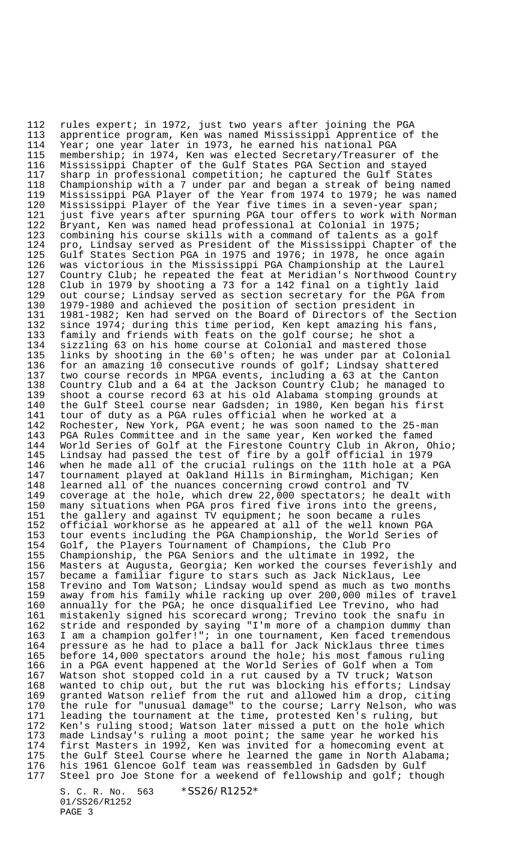112 rules expert; in 1972, just two years after joining the PGA<br>113 apprentice program, Ken was named Mississippi Apprentice of apprentice program, Ken was named Mississippi Apprentice of the 114 Year; one year later in 1973, he earned his national PGA 115 membership; in 1974, Ken was elected Secretary/Treasurer of the 116 Mississippi Chapter of the Gulf States PGA Section and stayed<br>117 sharp in professional competition; he captured the Gulf State; 117 sharp in professional competition; he captured the Gulf States 118 Championship with a 7 under par and began a streak of being named 119 Mississippi PGA Player of the Year from 1974 to 1979; he was named 120 Mississippi Player of the Year five times in a seven-year span; 121 just five years after spurning PGA tour offers to work with Norman<br>122 Bryant, Ken was named head professional at Colonial in 1975; 122 Bryant, Ken was named head professional at Colonial in 1975;<br>123 combining his course skills with a command of talents as a g 123 combining his course skills with a command of talents as a golf<br>124 pro, Lindsay served as President of the Mississippi Chapter of pro, Lindsay served as President of the Mississippi Chapter of the 125 Gulf States Section PGA in 1975 and 1976; in 1978, he once again 126 was victorious in the Mississippi PGA Championship at the Laurel 127 Country Club; he repeated the feat at Meridian's Northwood Country 128 Club in 1979 by shooting a 73 for a 142 final on a tightly laid 129 out course; Lindsay served as section secretary for the PGA from 130 1979-1980 and achieved the position of section president in 131 1981-1982; Ken had served on the Board of Directors of the Section<br>132 since 1974; during this time period, Ken kept amazing his fans, 132 since 1974; during this time period, Ken kept amazing his fans,<br>133 family and friends with feats on the golf course; he shot a 133 family and friends with feats on the golf course; he shot a sizzling 63 on his home course at Colonial and mastered those 135 links by shooting in the 60's often; he was under par at Colonial<br>136 for an amazing 10 consecutive rounds of golf; Lindsay shattered 136 for an amazing 10 consecutive rounds of golf; Lindsay shattered<br>137 two course records in MPGA events, including a 63 at the Canton 137 two course records in MPGA events, including a 63 at the Canton 138 Country Club and a 64 at the Jackson Country Club; he managed to 139 shoot a course record 63 at his old Alabama stomping grounds at 140 the Gulf Steel course near Gadsden; in 1980, Ken began his first<br>141 tour of duty as a PGA rules official when he worked at a tour of duty as a PGA rules official when he worked at a 142 Rochester, New York, PGA event; he was soon named to the 25-man<br>143 PGA Rules Committee and in the same year, Ken worked the famed 143 PGA Rules Committee and in the same year, Ken worked the famed<br>144 World Series of Golf at the Firestone Country Club in Akron, O 144 World Series of Golf at the Firestone Country Club in Akron, Ohio;<br>145 Lindsay had passed the test of fire by a golf official in 1979 Lindsay had passed the test of fire by a golf official in 1979 146 when he made all of the crucial rulings on the 11th hole at a PGA 147 tournament played at Oakland Hills in Birmingham, Michigan; Ken<br>148 learned all of the nuances concerning crowd control and TV learned all of the nuances concerning crowd control and TV 149 coverage at the hole, which drew 22,000 spectators; he dealt with<br>150 many situations when PGA pros fired five irons into the greens, 150 many situations when PGA pros fired five irons into the greens,<br>151 the gallery and against TV equipment; he soon became a rules 151 the gallery and against TV equipment; he soon became a rules 152 official workhorse as he appeared at all of the well known PGA 153 tour events including the PGA Championship, the World Series of 154 Golf, the Players Tournament of Champions, the Club Pro<br>155 Championship, the PGA Seniors and the ultimate in 1992, Championship, the PGA Seniors and the ultimate in 1992, the 156 Masters at Augusta, Georgia; Ken worked the courses feverishly and 157 became a familiar figure to stars such as Jack Nicklaus, Lee 158 Trevino and Tom Watson; Lindsay would spend as much as two months<br>159 away from his family while racking up over 200,000 miles of trave away from his family while racking up over 200,000 miles of travel 160 annually for the PGA; he once disqualified Lee Trevino, who had 161 mistakenly signed his scorecard wrong; Trevino took the snafu in<br>162 stride and responded by saying "I'm more of a champion dummy tha 162 stride and responded by saying "I'm more of a champion dummy than 163 I am a champion golfer!"; in one tournament, Ken faced tremendous 164 pressure as he had to place a ball for Jack Nicklaus three times<br>165 before 14,000 spectators around the hole; his most famous ruling before  $14,000$  spectators around the hole; his most famous ruling 166 in a PGA event happened at the World Series of Golf when a Tom 167 Watson shot stopped cold in a rut caused by a TV truck; Watson 168 wanted to chip out, but the rut was blocking his efforts; Lindsay granted Watson relief from the rut and allowed him a drop, citing 170 the rule for "unusual damage" to the course; Larry Nelson, who was<br>171 leading the tournament at the time, protested Ken's ruling, but 171 leading the tournament at the time, protested Ken's ruling, but<br>172 Ken's ruling stood; Watson later missed a putt on the hole which Ken's ruling stood; Watson later missed a putt on the hole which 173 made Lindsay's ruling a moot point; the same year he worked his 174 first Masters in 1992, Ken was invited for a homecoming event at 175 the Gulf Steel Course where he learned the game in North Alabama; 176 his 1961 Glencoe Golf team was reassembled in Gadsden by Gulf 177 Steel pro Joe Stone for a weekend of fellowship and golf; though

S. C. R. No. 563 \*SS26/R1252\* 01/SS26/R1252 PAGE 3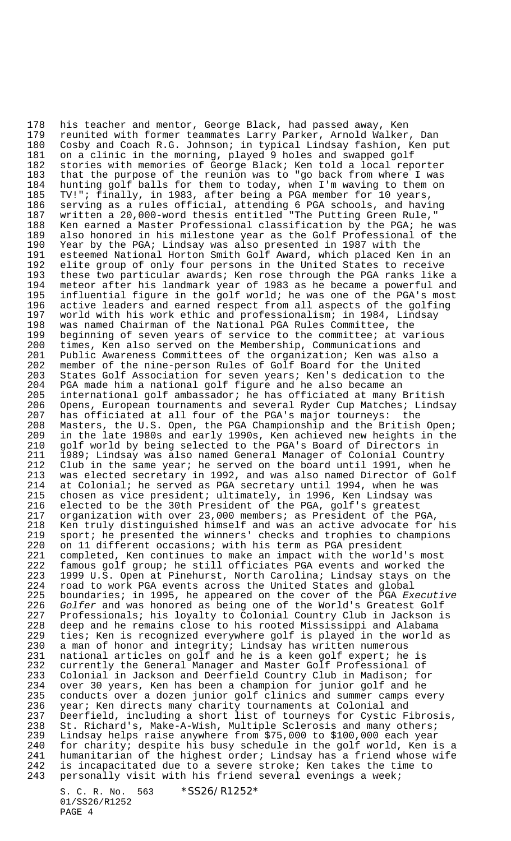178 his teacher and mentor, George Black, had passed away, Ken<br>179 reunited with former teammates Larry Parker, Arnold Walker reunited with former teammates Larry Parker, Arnold Walker, Dan 180 Cosby and Coach R.G. Johnson; in typical Lindsay fashion, Ken put 181 on a clinic in the morning, played 9 holes and swapped golf<br>182 stories with memories of George Black; Ken told a local rep stories with memories of George Black; Ken told a local reporter 183 that the purpose of the reunion was to "go back from where I was 184 hunting golf balls for them to today, when I'm waving to them on 185 TV!"; finally, in 1983, after being a PGA member for 10 years, 186 serving as a rules official, attending 6 PGA schools, and having 187 written a 20,000-word thesis entitled "The Putting Green Rule," 188 Ken earned a Master Professional classification by the PGA; he was<br>189 also honored in his milestone year as the Golf Professional of the also honored in his milestone year as the Golf Professional of the 190 Year by the PGA; Lindsay was also presented in 1987 with the 191 esteemed National Horton Smith Golf Award, which placed Ken in an 192 elite group of only four persons in the United States to receive<br>193 these two particular awards; Ken rose through the PGA ranks like these two particular awards; Ken rose through the PGA ranks like a 194 meteor after his landmark year of 1983 as he became a powerful and 195 influential figure in the golf world; he was one of the PGA's most 196 active leaders and earned respect from all aspects of the golfing 197 world with his work ethic and professionalism; in 1984, Lindsay<br>198 was named Chairman of the National PGA Rules Committee, the was named Chairman of the National PGA Rules Committee, the 199 beginning of seven years of service to the committee; at various<br>200 times, Ken also served on the Membership, Communications and times, Ken also served on the Membership, Communications and 201 Public Awareness Committees of the organization; Ken was also a<br>202 member of the nine-person Rules of Golf Board for the United 202 member of the nine-person Rules of Golf Board for the United<br>203 States Golf Association for seven years; Ken's dedication to 203 States Golf Association for seven years; Ken's dedication to the 204 PGA made him a national golf figure and he also became an 205 international golf ambassador; he has officiated at many British 206 Opens, European tournaments and several Ryder Cup Matches; Lindsay<br>207 has officiated at all four of the PGA's major tourneys: the has officiated at all four of the PGA's major tourneys: the 208 Masters, the U.S. Open, the PGA Championship and the British Open; 209 in the late 1980s and early 1990s, Ken achieved new heights in the 210 golf world by being selected to the PGA's Board of Directors in 211 1989; Lindsay was also named General Manager of Colonial Country 212 Club in the same year; he served on the board until 1991, when he 213 was elected secretary in 1992, and was also named Director of Golf 214 at Colonial; he served as PGA secretary until 1994, when he was 215 chosen as vice president; ultimately, in 1996, Ken Lindsay was<br>216 elected to be the 30th President of the PGA, golf's greatest 216 elected to be the 30th President of the PGA, golf's greatest<br>217 organization with over 23,000 members; as President of the P organization with over 23,000 members; as President of the PGA, 218 Ken truly distinguished himself and was an active advocate for his 219 sport; he presented the winners' checks and trophies to champions 220 on 11 different occasions; with his term as PGA president<br>221 completed, Ken continues to make an impact with the world completed, Ken continues to make an impact with the world's most 222 famous golf group; he still officiates PGA events and worked the<br>223 1999 U.S. Open at Pinehurst, North Carolina; Lindsay stays on th 223 1999 U.S. Open at Pinehurst, North Carolina; Lindsay stays on the<br>224 road to work PGA events across the United States and global road to work PGA events across the United States and global 225 boundaries; in 1995, he appeared on the cover of the PGA Executive 226 Golfer and was honored as being one of the World's Greatest Golf 227 Professionals; his loyalty to Colonial Country Club in Jackson is 228 deep and he remains close to his rooted Mississippi and Alabama 229 ties; Ken is recognized everywhere golf is played in the world as<br>230 a man of honor and integrity; Lindsay has written numerous 230 a man of honor and integrity; Lindsay has written numerous<br>231 national articles on golf and he is a keen golf expert; he national articles on golf and he is a keen golf expert; he is 232 currently the General Manager and Master Golf Professional of 233 Colonial in Jackson and Deerfield Country Club in Madison; for 234 over 30 years, Ken has been a champion for junior golf and he conducts over a dozen junior golf clinics and summer camps every 236 year; Ken directs many charity tournaments at Colonial and 237 Deerfield, including a short list of tourneys for Cystic Fibrosis, 238 St. Richard's, Make-A-Wish, Multiple Sclerosis and many others; 239 Lindsay helps raise anywhere from \$75,000 to \$100,000 each year 240 for charity; despite his busy schedule in the golf world, Ken is a 241 humanitarian of the highest order; Lindsay has a friend whose wife<br>242 is incapacitated due to a severe stroke; Ken takes the time to is incapacitated due to a severe stroke; Ken takes the time to 243 personally visit with his friend several evenings a week;

S. C. R. No. 563 \*SS26/R1252\* 01/SS26/R1252 PAGE 4